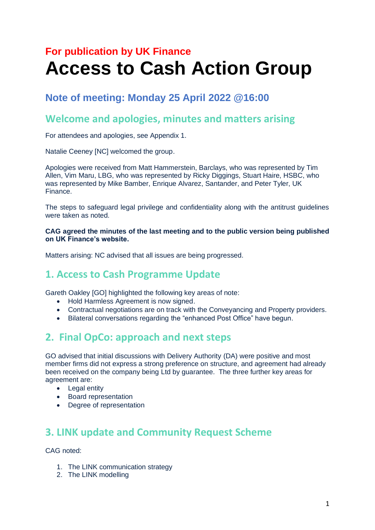# **For publication by UK Finance Access to Cash Action Group**

# **Note of meeting: Monday 25 April 2022 @16:00**

## **Welcome and apologies, minutes and matters arising**

For attendees and apologies, see Appendix 1.

Natalie Ceeney [NC] welcomed the group.

Apologies were received from Matt Hammerstein, Barclays, who was represented by Tim Allen, Vim Maru, LBG, who was represented by Ricky Diggings, Stuart Haire, HSBC, who was represented by Mike Bamber, Enrique Alvarez, Santander, and Peter Tyler, UK Finance.

The steps to safeguard legal privilege and confidentiality along with the antitrust guidelines were taken as noted.

#### **CAG agreed the minutes of the last meeting and to the public version being published on UK Finance's website.**

Matters arising: NC advised that all issues are being progressed.

### **1. Access to Cash Programme Update**

Gareth Oakley [GO] highlighted the following key areas of note:

- Hold Harmless Agreement is now signed.
- Contractual negotiations are on track with the Conveyancing and Property providers.
- Bilateral conversations regarding the "enhanced Post Office" have begun.

# **2. Final OpCo: approach and next steps**

GO advised that initial discussions with Delivery Authority (DA) were positive and most member firms did not express a strong preference on structure, and agreement had already been received on the company being Ltd by guarantee. The three further key areas for agreement are:

- Legal entity
- Board representation
- Degree of representation

# **3. LINK update and Community Request Scheme**

CAG noted:

- 1. The LINK communication strategy
- 2. The LINK modelling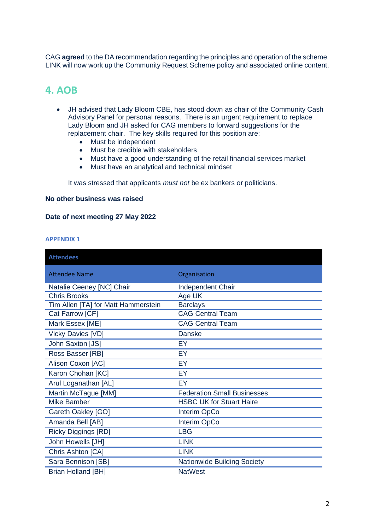CAG **agreed** to the DA recommendation regarding the principles and operation of the scheme. LINK will now work up the Community Request Scheme policy and associated online content.

### **4. AOB**

- JH advised that Lady Bloom CBE, has stood down as chair of the Community Cash Advisory Panel for personal reasons. There is an urgent requirement to replace Lady Bloom and JH asked for CAG members to forward suggestions for the replacement chair. The key skills required for this position are:
	- Must be independent
	- Must be credible with stakeholders
	- Must have a good understanding of the retail financial services market
	- Must have an analytical and technical mindset

It was stressed that applicants *must not* be ex bankers or politicians.

### **No other business was raised**  •

#### **Date of next meeting 27 May 2022**

#### **APPENDIX 1**

| <b>Attendees</b>                    |                                    |
|-------------------------------------|------------------------------------|
| <b>Attendee Name</b>                | Organisation                       |
| Natalie Ceeney [NC] Chair           | Independent Chair                  |
| <b>Chris Brooks</b>                 | Age UK                             |
| Tim Allen [TA] for Matt Hammerstein | <b>Barclays</b>                    |
| Cat Farrow [CF]                     | <b>CAG Central Team</b>            |
| Mark Essex [ME]                     | <b>CAG Central Team</b>            |
| <b>Vicky Davies [VD]</b>            | <b>Danske</b>                      |
| John Saxton [JS]                    | EY                                 |
| Ross Basser [RB]                    | EY                                 |
| Alison Coxon [AC]                   | EY                                 |
| Karon Chohan [KC]                   | EY                                 |
| Arul Loganathan [AL]                | EY                                 |
| Martin McTague [MM]                 | <b>Federation Small Businesses</b> |
| <b>Mike Bamber</b>                  | <b>HSBC UK for Stuart Haire</b>    |
| <b>Gareth Oakley [GO]</b>           | Interim OpCo                       |
| Amanda Bell [AB]                    | Interim OpCo                       |
| <b>Ricky Diggings [RD]</b>          | <b>LBG</b>                         |
| John Howells [JH]                   | <b>LINK</b>                        |
| Chris Ashton [CA]                   | <b>LINK</b>                        |
| Sara Bennison [SB]                  | <b>Nationwide Building Society</b> |
| <b>Brian Holland [BH]</b>           | <b>NatWest</b>                     |